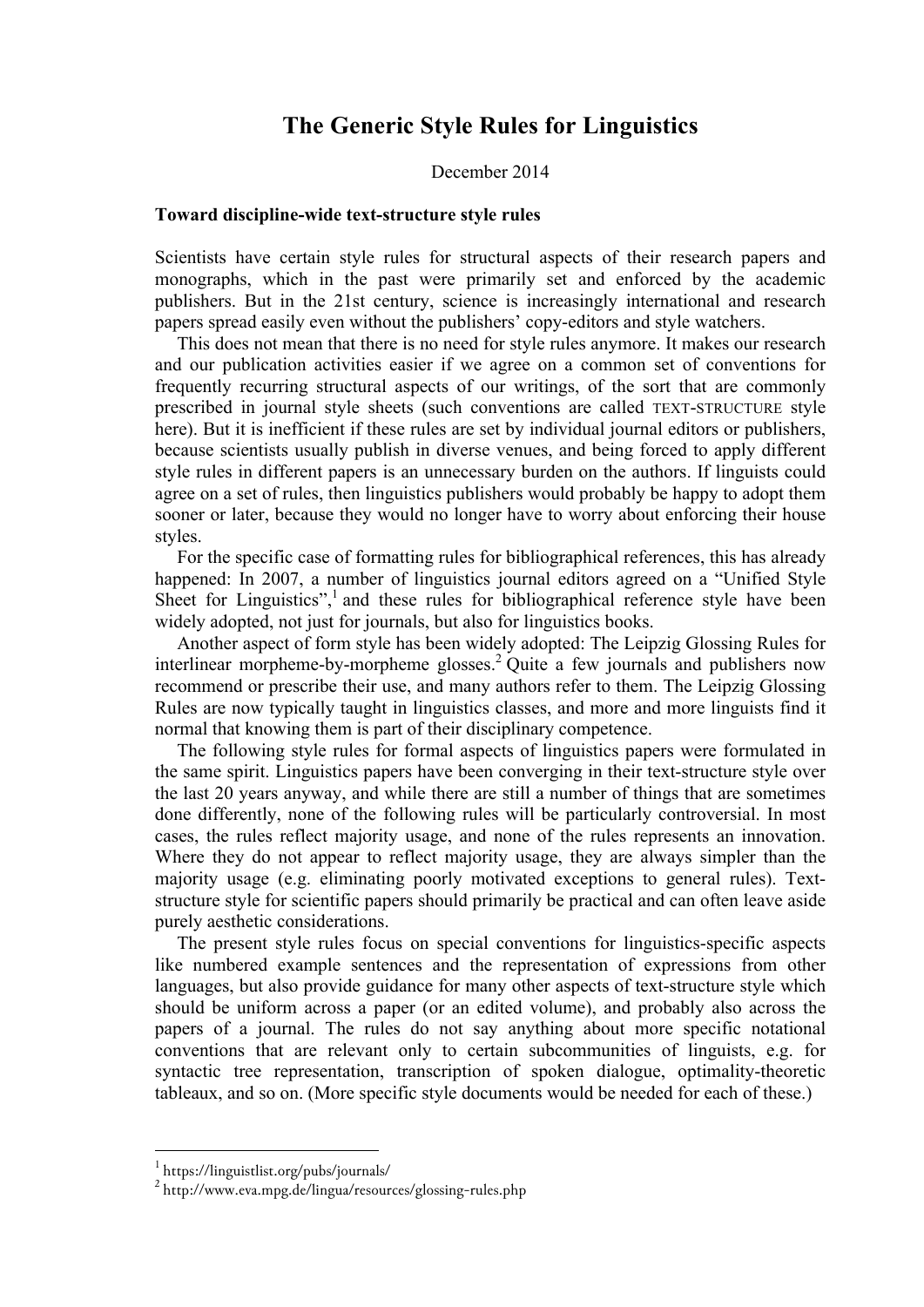# **The Generic Style Rules for Linguistics**

#### December 2014

# **Toward discipline-wide text-structure style rules**

Scientists have certain style rules for structural aspects of their research papers and monographs, which in the past were primarily set and enforced by the academic publishers. But in the 21st century, science is increasingly international and research papers spread easily even without the publishers' copy-editors and style watchers.

This does not mean that there is no need for style rules anymore. It makes our research and our publication activities easier if we agree on a common set of conventions for frequently recurring structural aspects of our writings, of the sort that are commonly prescribed in journal style sheets (such conventions are called TEXT-STRUCTURE style here). But it is inefficient if these rules are set by individual journal editors or publishers, because scientists usually publish in diverse venues, and being forced to apply different style rules in different papers is an unnecessary burden on the authors. If linguists could agree on a set of rules, then linguistics publishers would probably be happy to adopt them sooner or later, because they would no longer have to worry about enforcing their house styles.

For the specific case of formatting rules for bibliographical references, this has already happened: In 2007, a number of linguistics journal editors agreed on a "Unified Style Sheet for Linguistics",<sup>1</sup> and these rules for bibliographical reference style have been widely adopted, not just for journals, but also for linguistics books.

Another aspect of form style has been widely adopted: The Leipzig Glossing Rules for interlinear morpheme-by-morpheme glosses.<sup>2</sup> Quite a few journals and publishers now recommend or prescribe their use, and many authors refer to them. The Leipzig Glossing Rules are now typically taught in linguistics classes, and more and more linguists find it normal that knowing them is part of their disciplinary competence.

The following style rules for formal aspects of linguistics papers were formulated in the same spirit. Linguistics papers have been converging in their text-structure style over the last 20 years anyway, and while there are still a number of things that are sometimes done differently, none of the following rules will be particularly controversial. In most cases, the rules reflect majority usage, and none of the rules represents an innovation. Where they do not appear to reflect majority usage, they are always simpler than the majority usage (e.g. eliminating poorly motivated exceptions to general rules). Textstructure style for scientific papers should primarily be practical and can often leave aside purely aesthetic considerations.

The present style rules focus on special conventions for linguistics-specific aspects like numbered example sentences and the representation of expressions from other languages, but also provide guidance for many other aspects of text-structure style which should be uniform across a paper (or an edited volume), and probably also across the papers of a journal. The rules do not say anything about more specific notational conventions that are relevant only to certain subcommunities of linguists, e.g. for syntactic tree representation, transcription of spoken dialogue, optimality-theoretic tableaux, and so on. (More specific style documents would be needed for each of these.)

 <sup>1</sup> https://linguistlist.org/pubs/journals/

<sup>2</sup> http://www.eva.mpg.de/lingua/resources/glossing-rules.php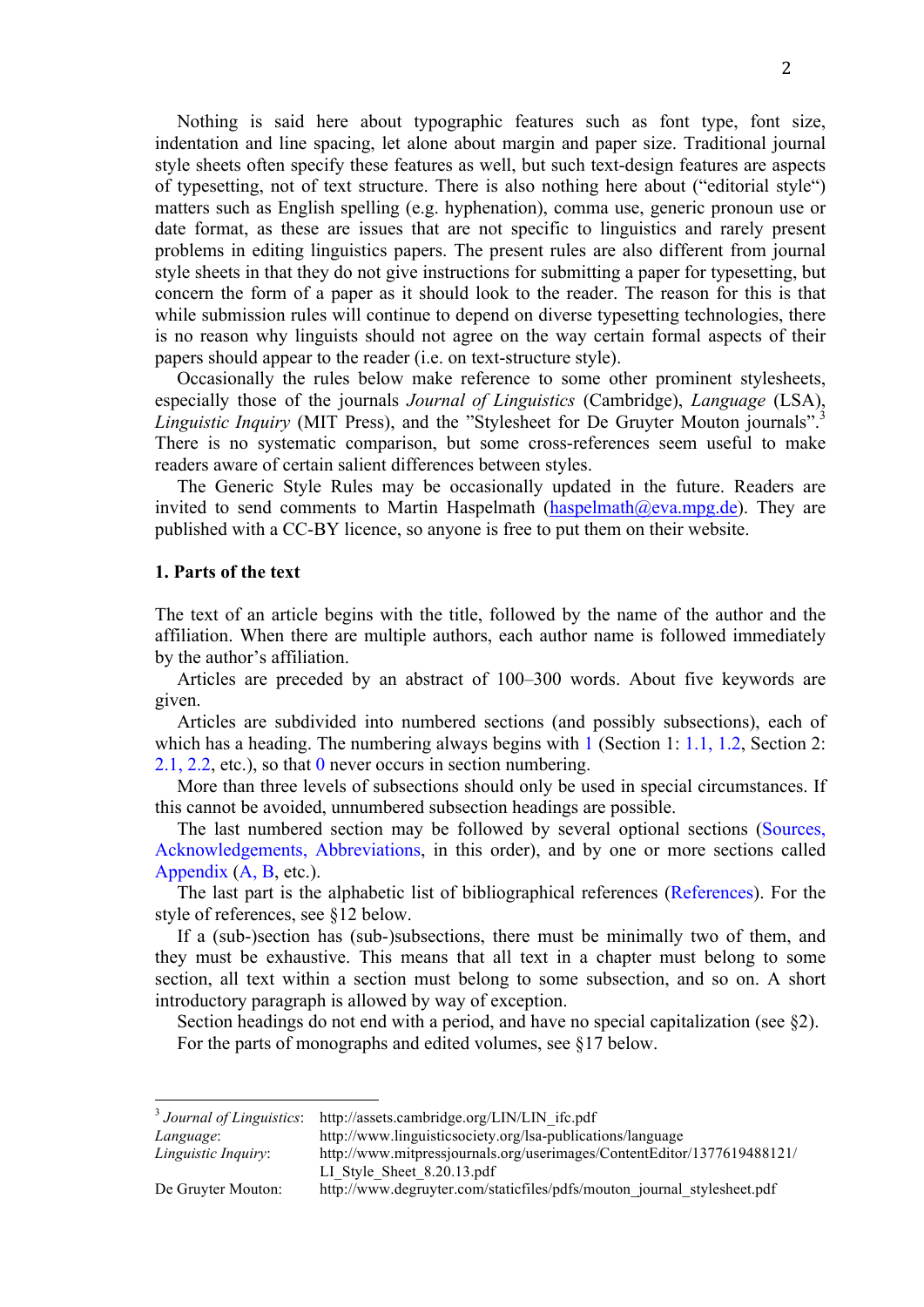Nothing is said here about typographic features such as font type, font size, indentation and line spacing, let alone about margin and paper size. Traditional journal style sheets often specify these features as well, but such text-design features are aspects of typesetting, not of text structure. There is also nothing here about ("editorial style") matters such as English spelling (e.g. hyphenation), comma use, generic pronoun use or date format, as these are issues that are not specific to linguistics and rarely present problems in editing linguistics papers. The present rules are also different from journal style sheets in that they do not give instructions for submitting a paper for typesetting, but concern the form of a paper as it should look to the reader. The reason for this is that while submission rules will continue to depend on diverse typesetting technologies, there is no reason why linguists should not agree on the way certain formal aspects of their papers should appear to the reader (i.e. on text-structure style).

Occasionally the rules below make reference to some other prominent stylesheets, especially those of the journals *Journal of Linguistics* (Cambridge), *Language* (LSA), Linguistic Inquiry (MIT Press), and the "Stylesheet for De Gruyter Mouton journals".<sup>3</sup> There is no systematic comparison, but some cross-references seem useful to make readers aware of certain salient differences between styles.

The Generic Style Rules may be occasionally updated in the future. Readers are invited to send comments to Martin Haspelmath (haspelmath $(\partial_{\alpha}$ eva.mpg.de). They are published with a CC-BY licence, so anyone is free to put them on their website.

## **1. Parts of the text**

The text of an article begins with the title, followed by the name of the author and the affiliation. When there are multiple authors, each author name is followed immediately by the author's affiliation.

Articles are preceded by an abstract of 100–300 words. About five keywords are given.

Articles are subdivided into numbered sections (and possibly subsections), each of which has a heading. The numbering always begins with 1 (Section 1: 1.1, 1.2, Section 2: 2.1, 2.2, etc.), so that 0 never occurs in section numbering.

More than three levels of subsections should only be used in special circumstances. If this cannot be avoided, unnumbered subsection headings are possible.

The last numbered section may be followed by several optional sections (Sources, Acknowledgements, Abbreviations, in this order), and by one or more sections called Appendix (A, B, etc.).

The last part is the alphabetic list of bibliographical references (References). For the style of references, see §12 below.

If a (sub-)section has (sub-)subsections, there must be minimally two of them, and they must be exhaustive. This means that all text in a chapter must belong to some section, all text within a section must belong to some subsection, and so on. A short introductory paragraph is allowed by way of exception.

Section headings do not end with a period, and have no special capitalization (see §2). For the parts of monographs and edited volumes, see §17 below.

| <sup>3</sup> Journal of Linguistics: | http://assets.cambridge.org/LIN/LIN ifc.pdf                             |
|--------------------------------------|-------------------------------------------------------------------------|
| Language:                            | http://www.linguisticsociety.org/lsa-publications/language              |
| Linguistic Inquiry:                  | http://www.mitpressjournals.org/userimages/ContentEditor/1377619488121/ |
|                                      | LI Style Sheet 8.20.13.pdf                                              |
| De Gruyter Mouton:                   | http://www.degruyter.com/staticfiles/pdfs/mouton_journal_stylesheet.pdf |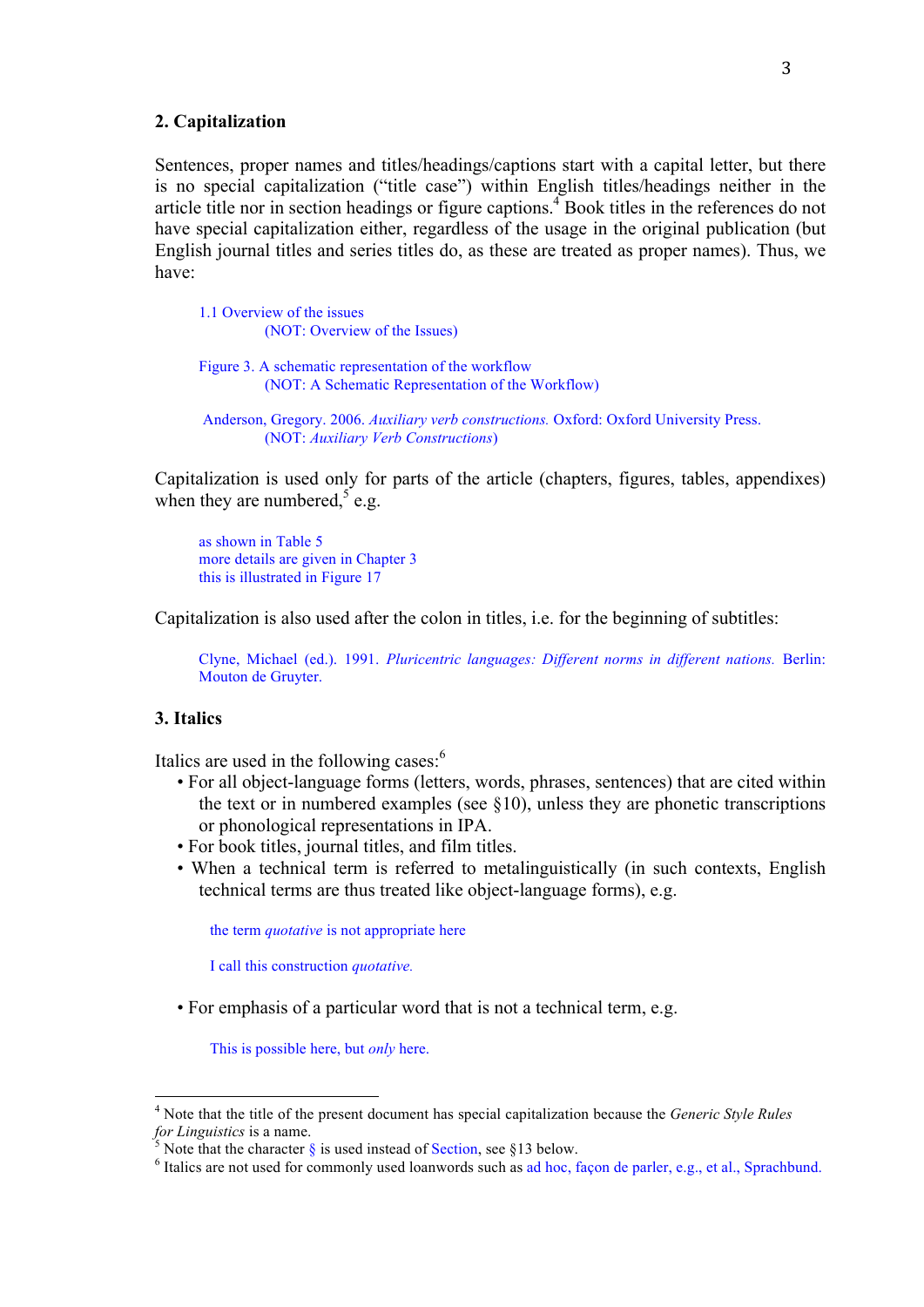#### **2. Capitalization**

Sentences, proper names and titles/headings/captions start with a capital letter, but there is no special capitalization ("title case") within English titles/headings neither in the article title nor in section headings or figure captions.<sup>4</sup> Book titles in the references do not have special capitalization either, regardless of the usage in the original publication (but English journal titles and series titles do, as these are treated as proper names). Thus, we have:

1.1 Overview of the issues (NOT: Overview of the Issues)

Figure 3. A schematic representation of the workflow (NOT: A Schematic Representation of the Workflow)

Anderson, Gregory. 2006. *Auxiliary verb constructions.* Oxford: Oxford University Press. (NOT: *Auxiliary Verb Constructions*)

Capitalization is used only for parts of the article (chapters, figures, tables, appendixes) when they are numbered,  $5^{\circ}$  e.g.

as shown in Table 5 more details are given in Chapter 3 this is illustrated in Figure 17

Capitalization is also used after the colon in titles, i.e. for the beginning of subtitles:

Clyne, Michael (ed.). 1991. *Pluricentric languages: Different norms in different nations.* Berlin: Mouton de Gruyter.

# **3. Italics**

Italics are used in the following cases:<sup>6</sup>

- For all object-language forms (letters, words, phrases, sentences) that are cited within the text or in numbered examples (see  $\S10$ ), unless they are phonetic transcriptions or phonological representations in IPA.
- For book titles, journal titles, and film titles.
- When a technical term is referred to metalinguistically (in such contexts, English technical terms are thus treated like object-language forms), e.g.

the term *quotative* is not appropriate here

I call this construction *quotative.*

• For emphasis of a particular word that is not a technical term, e.g.

This is possible here, but *only* here.

<sup>&</sup>lt;sup>4</sup> Note that the title of the present document has special capitalization because the *Generic Style Rules for Linguistics* is a name.

<sup>&</sup>lt;sup>5</sup> Note that the character § is used instead of Section, see §13 below.<br><sup>6</sup> Italics are not used for commonly used loanwords such as ad hoc, façon de parler, e.g., et al., Sprachbund.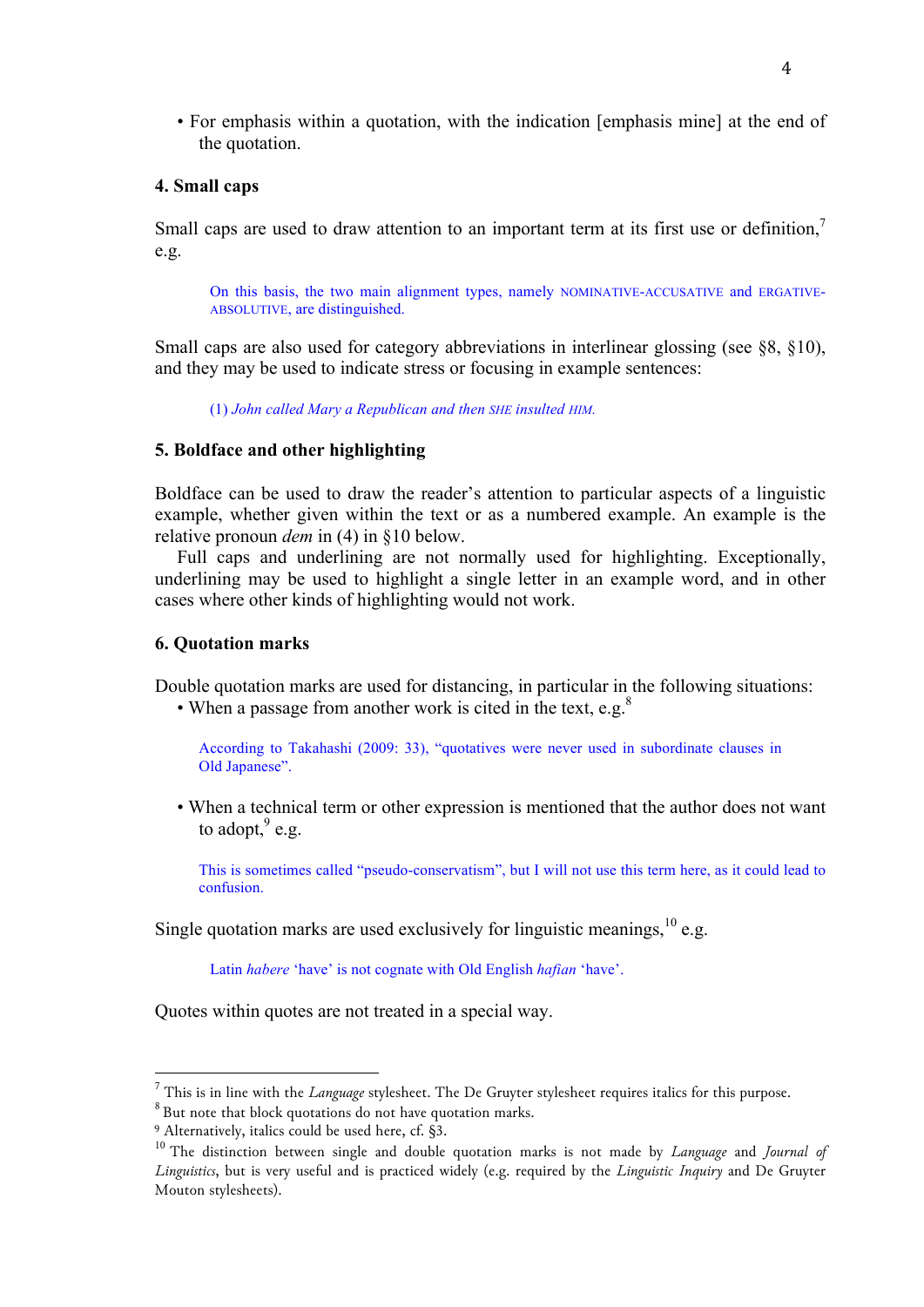• For emphasis within a quotation, with the indication [emphasis mine] at the end of the quotation.

## **4. Small caps**

Small caps are used to draw attention to an important term at its first use or definition,<sup>7</sup> e.g.

On this basis, the two main alignment types, namely NOMINATIVE-ACCUSATIVE and ERGATIVE-ABSOLUTIVE, are distinguished.

Small caps are also used for category abbreviations in interlinear glossing (see §8, §10), and they may be used to indicate stress or focusing in example sentences:

(1) *John called Mary a Republican and then SHE insulted HIM.*

#### **5. Boldface and other highlighting**

Boldface can be used to draw the reader's attention to particular aspects of a linguistic example, whether given within the text or as a numbered example. An example is the relative pronoun *dem* in (4) in §10 below.

Full caps and underlining are not normally used for highlighting. Exceptionally, underlining may be used to highlight a single letter in an example word, and in other cases where other kinds of highlighting would not work.

#### **6. Quotation marks**

Double quotation marks are used for distancing, in particular in the following situations: • When a passage from another work is cited in the text, e.g. $8$ 

According to Takahashi (2009: 33), "quotatives were never used in subordinate clauses in Old Japanese".

• When a technical term or other expression is mentioned that the author does not want to adopt, $9$  e.g.

This is sometimes called "pseudo-conservatism", but I will not use this term here, as it could lead to confusion.

Single quotation marks are used exclusively for linguistic meanings.<sup>10</sup> e.g.

Latin *habere* 'have' is not cognate with Old English *hafian* 'have'.

Quotes within quotes are not treated in a special way.

 

<sup>7</sup> This is in line with the *Language* stylesheet. The De Gruyter stylesheet requires italics for this purpose.

<sup>&</sup>lt;sup>8</sup> But note that block quotations do not have quotation marks.

 $9$  Alternatively, italics could be used here, cf. §3.

<sup>10</sup> The distinction between single and double quotation marks is not made by *Language* and *Journal of Linguistics*, but is very useful and is practiced widely (e.g. required by the *Linguistic Inquiry* and De Gruyter Mouton stylesheets).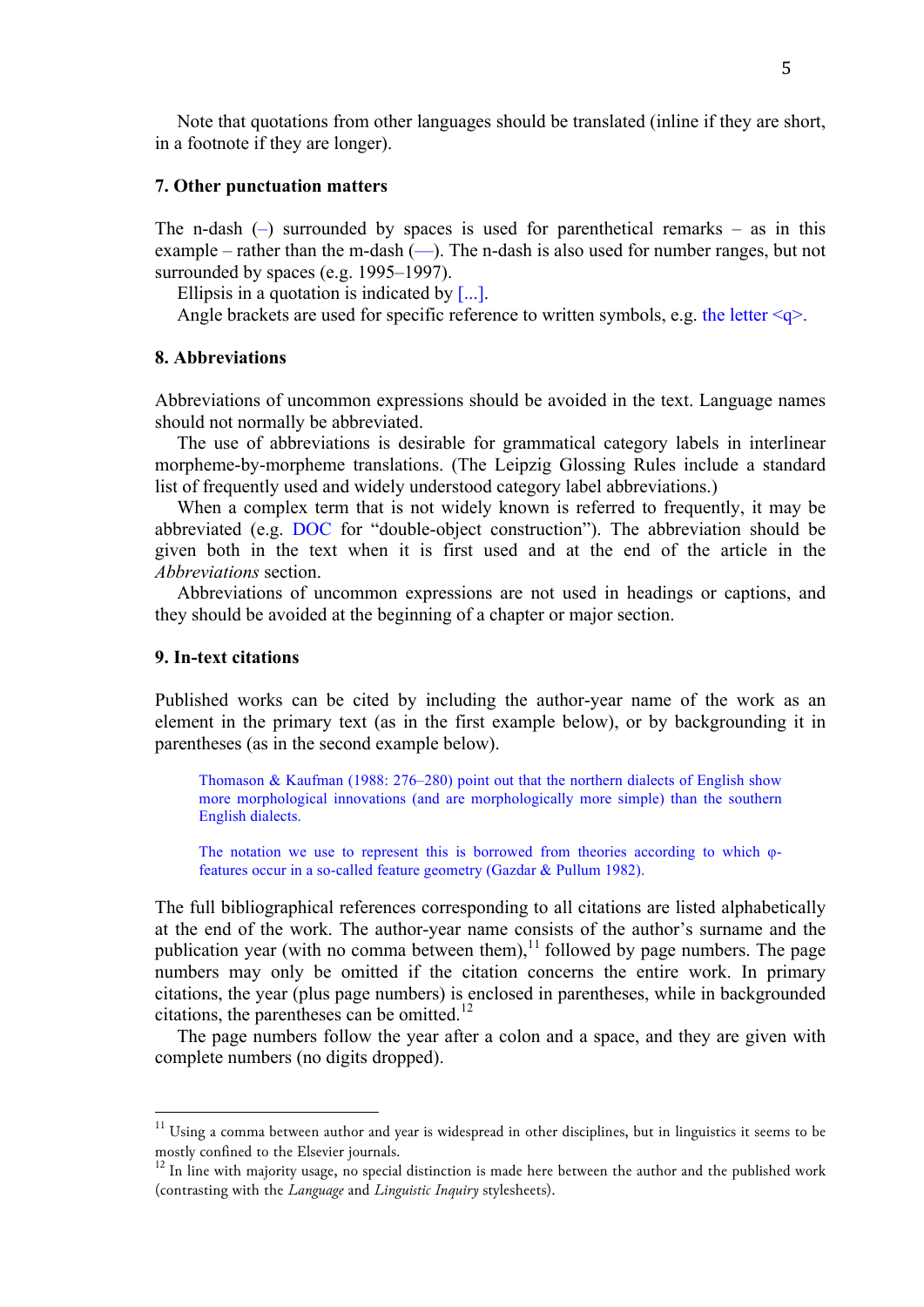Note that quotations from other languages should be translated (inline if they are short, in a footnote if they are longer).

#### **7. Other punctuation matters**

The n-dash  $(-)$  surrounded by spaces is used for parenthetical remarks – as in this example – rather than the m-dash  $(-)$ . The n-dash is also used for number ranges, but not surrounded by spaces (e.g. 1995–1997).

Ellipsis in a quotation is indicated by [...].

Angle brackets are used for specific reference to written symbols, e.g. the letter  $\langle q \rangle$ .

## **8. Abbreviations**

Abbreviations of uncommon expressions should be avoided in the text. Language names should not normally be abbreviated.

The use of abbreviations is desirable for grammatical category labels in interlinear morpheme-by-morpheme translations. (The Leipzig Glossing Rules include a standard list of frequently used and widely understood category label abbreviations.)

When a complex term that is not widely known is referred to frequently, it may be abbreviated (e.g. DOC for "double-object construction"). The abbreviation should be given both in the text when it is first used and at the end of the article in the *Abbreviations* section.

Abbreviations of uncommon expressions are not used in headings or captions, and they should be avoided at the beginning of a chapter or major section.

## **9. In-text citations**

 

Published works can be cited by including the author-year name of the work as an element in the primary text (as in the first example below), or by backgrounding it in parentheses (as in the second example below).

Thomason & Kaufman (1988: 276–280) point out that the northern dialects of English show more morphological innovations (and are morphologically more simple) than the southern English dialects.

The notation we use to represent this is borrowed from theories according to which φfeatures occur in a so-called feature geometry (Gazdar & Pullum 1982).

The full bibliographical references corresponding to all citations are listed alphabetically at the end of the work. The author-year name consists of the author's surname and the publication year (with no comma between them),  $\frac{1}{1}$  followed by page numbers. The page numbers may only be omitted if the citation concerns the entire work. In primary citations, the year (plus page numbers) is enclosed in parentheses, while in backgrounded citations, the parentheses can be omitted. 12

The page numbers follow the year after a colon and a space, and they are given with complete numbers (no digits dropped).

<sup>&</sup>lt;sup>11</sup> Using a comma between author and year is widespread in other disciplines, but in linguistics it seems to be mostly confined to the Elsevier journals.<br><sup>12</sup> In line with majority usage, no special distinction is made here between the author and the published work

<sup>(</sup>contrasting with the *Language* and *Linguistic Inquiry* stylesheets).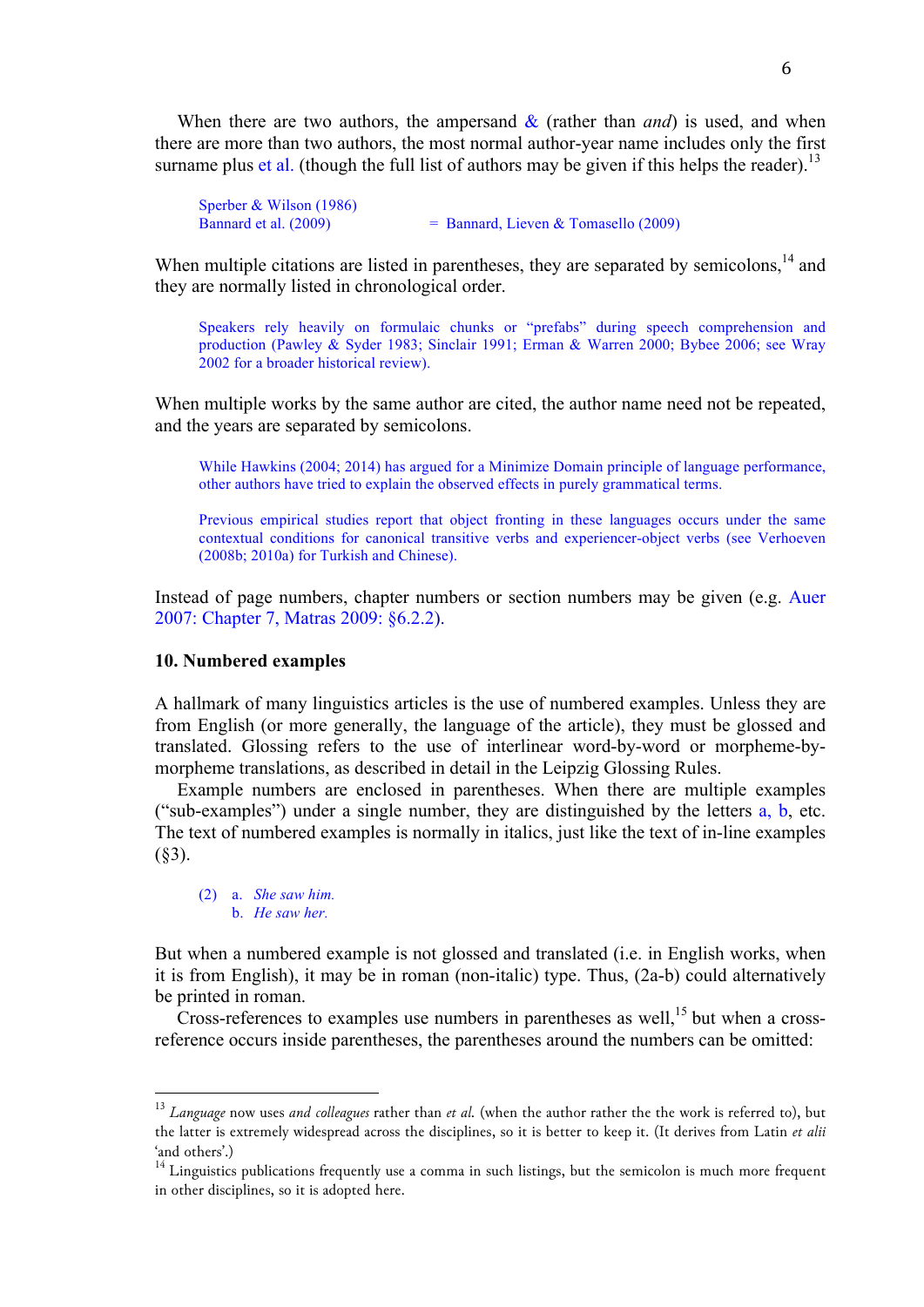When there are two authors, the ampersand  $\&$  (rather than *and*) is used, and when there are more than two authors, the most normal author-year name includes only the first surname plus et al. (though the full list of authors may be given if this helps the reader).<sup>13</sup>

Sperber & Wilson (1986) Bannard et al.  $(2009)$  = Bannard, Lieven & Tomasello  $(2009)$ 

When multiple citations are listed in parentheses, they are separated by semicolons,  $14$  and they are normally listed in chronological order.

Speakers rely heavily on formulaic chunks or "prefabs" during speech comprehension and production (Pawley & Syder 1983; Sinclair 1991; Erman & Warren 2000; Bybee 2006; see Wray 2002 for a broader historical review).

When multiple works by the same author are cited, the author name need not be repeated. and the years are separated by semicolons.

While Hawkins (2004; 2014) has argued for a Minimize Domain principle of language performance, other authors have tried to explain the observed effects in purely grammatical terms.

Previous empirical studies report that object fronting in these languages occurs under the same contextual conditions for canonical transitive verbs and experiencer-object verbs (see Verhoeven (2008b; 2010a) for Turkish and Chinese).

Instead of page numbers, chapter numbers or section numbers may be given (e.g. Auer 2007: Chapter 7, Matras 2009: §6.2.2).

# **10. Numbered examples**

A hallmark of many linguistics articles is the use of numbered examples. Unless they are from English (or more generally, the language of the article), they must be glossed and translated. Glossing refers to the use of interlinear word-by-word or morpheme-bymorpheme translations, as described in detail in the Leipzig Glossing Rules.

Example numbers are enclosed in parentheses. When there are multiple examples ("sub-examples") under a single number, they are distinguished by the letters  $a, b, etc.$ The text of numbered examples is normally in italics, just like the text of in-line examples  $(S3)$ .

(2) a. *She saw him.* b. *He saw her.*

 

But when a numbered example is not glossed and translated (i.e. in English works, when it is from English), it may be in roman (non-italic) type. Thus, (2a-b) could alternatively be printed in roman.

Cross-references to examples use numbers in parentheses as well,<sup>15</sup> but when a crossreference occurs inside parentheses, the parentheses around the numbers can be omitted:

<sup>13</sup> *Language* now uses *and colleagues* rather than *et al.* (when the author rather the the work is referred to), but the latter is extremely widespread across the disciplines, so it is better to keep it. (It derives from Latin *et alii* 'and others'.)

 $14$  Linguistics publications frequently use a comma in such listings, but the semicolon is much more frequent in other disciplines, so it is adopted here.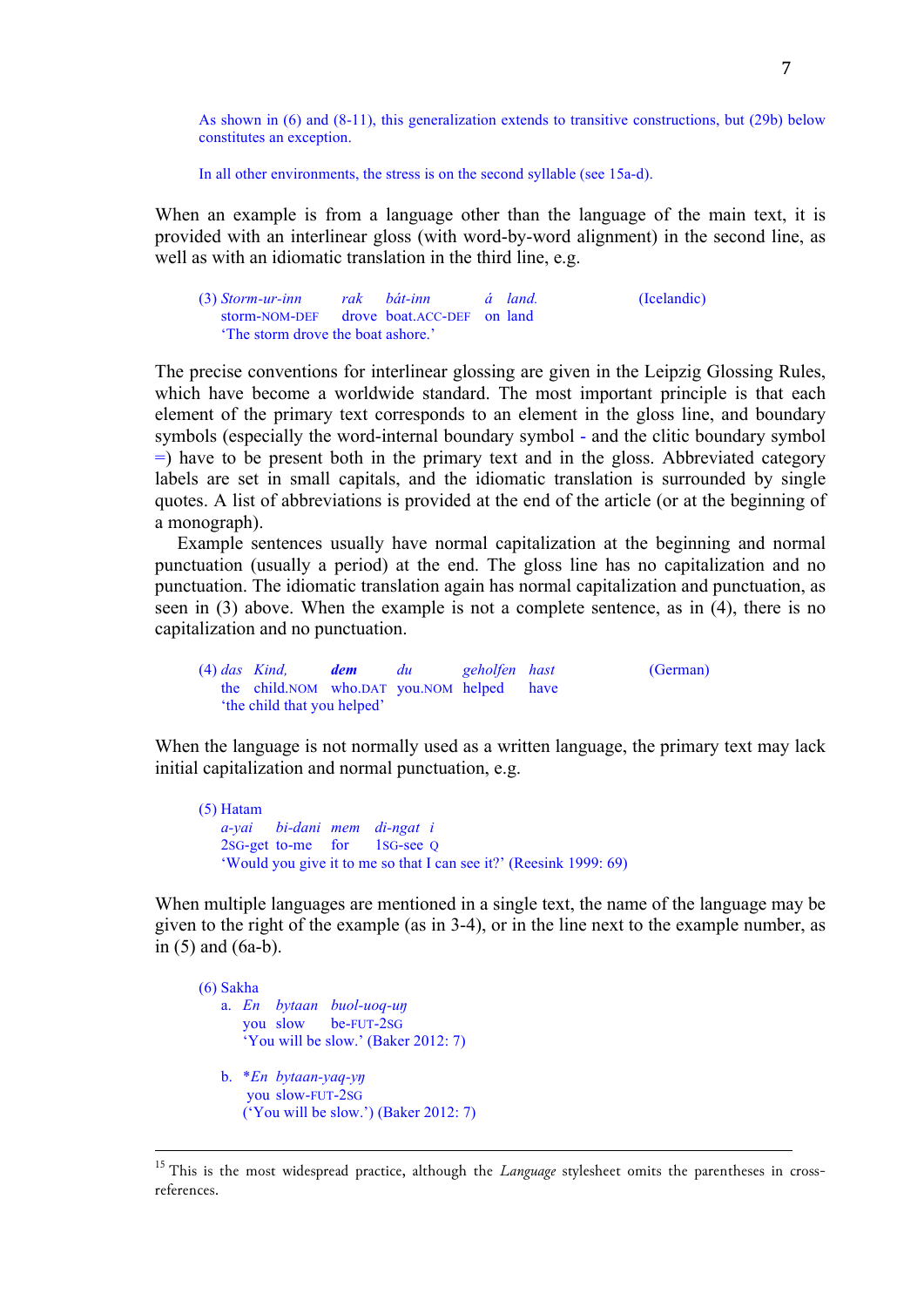As shown in (6) and (8-11), this generalization extends to transitive constructions, but (29b) below constitutes an exception.

In all other environments, the stress is on the second syllable (see 15a-d).

When an example is from a language other than the language of the main text, it is provided with an interlinear gloss (with word-by-word alignment) in the second line, as well as with an idiomatic translation in the third line, e.g.

(3) *Storm-ur-inn rak bát-inn á land.* (Icelandic) storm-NOM-DEF drove boat.ACC-DEF on land 'The storm drove the boat ashore.'

The precise conventions for interlinear glossing are given in the Leipzig Glossing Rules, which have become a worldwide standard. The most important principle is that each element of the primary text corresponds to an element in the gloss line, and boundary symbols (especially the word-internal boundary symbol - and the clitic boundary symbol  $=$ ) have to be present both in the primary text and in the gloss. Abbreviated category labels are set in small capitals, and the idiomatic translation is surrounded by single quotes. A list of abbreviations is provided at the end of the article (or at the beginning of a monograph).

Example sentences usually have normal capitalization at the beginning and normal punctuation (usually a period) at the end. The gloss line has no capitalization and no punctuation. The idiomatic translation again has normal capitalization and punctuation, as seen in (3) above. When the example is not a complete sentence, as in (4), there is no capitalization and no punctuation.

(4) *das Kind, dem du geholfen hast* (German) the child.NOM who.DAT you.NOM helped have 'the child that you helped'

When the language is not normally used as a written language, the primary text may lack initial capitalization and normal punctuation, e.g.

(5) Hatam *a-yai bi-dani mem di-ngat i*  2SG-get to-me for 1SG-see Q 'Would you give it to me so that I can see it?' (Reesink 1999: 69)

When multiple languages are mentioned in a single text, the name of the language may be given to the right of the example (as in 3-4), or in the line next to the example number, as in (5) and (6a-b).

(6) Sakha a. *En bytaan buol-uoq-uŋ* you slow be-FUT-2SG 'You will be slow.' (Baker 2012: 7) b. \**En bytaan-yaq-yŋ* you slow-FUT-2SG ('You will be slow.') (Baker 2012: 7)

<u> 1989 - Andrea San Andrea San Andrea San Andrea San Andrea San Andrea San Andrea San Andrea San Andrea San An</u>

<sup>&</sup>lt;sup>15</sup> This is the most widespread practice, although the *Language* stylesheet omits the parentheses in crossreferences.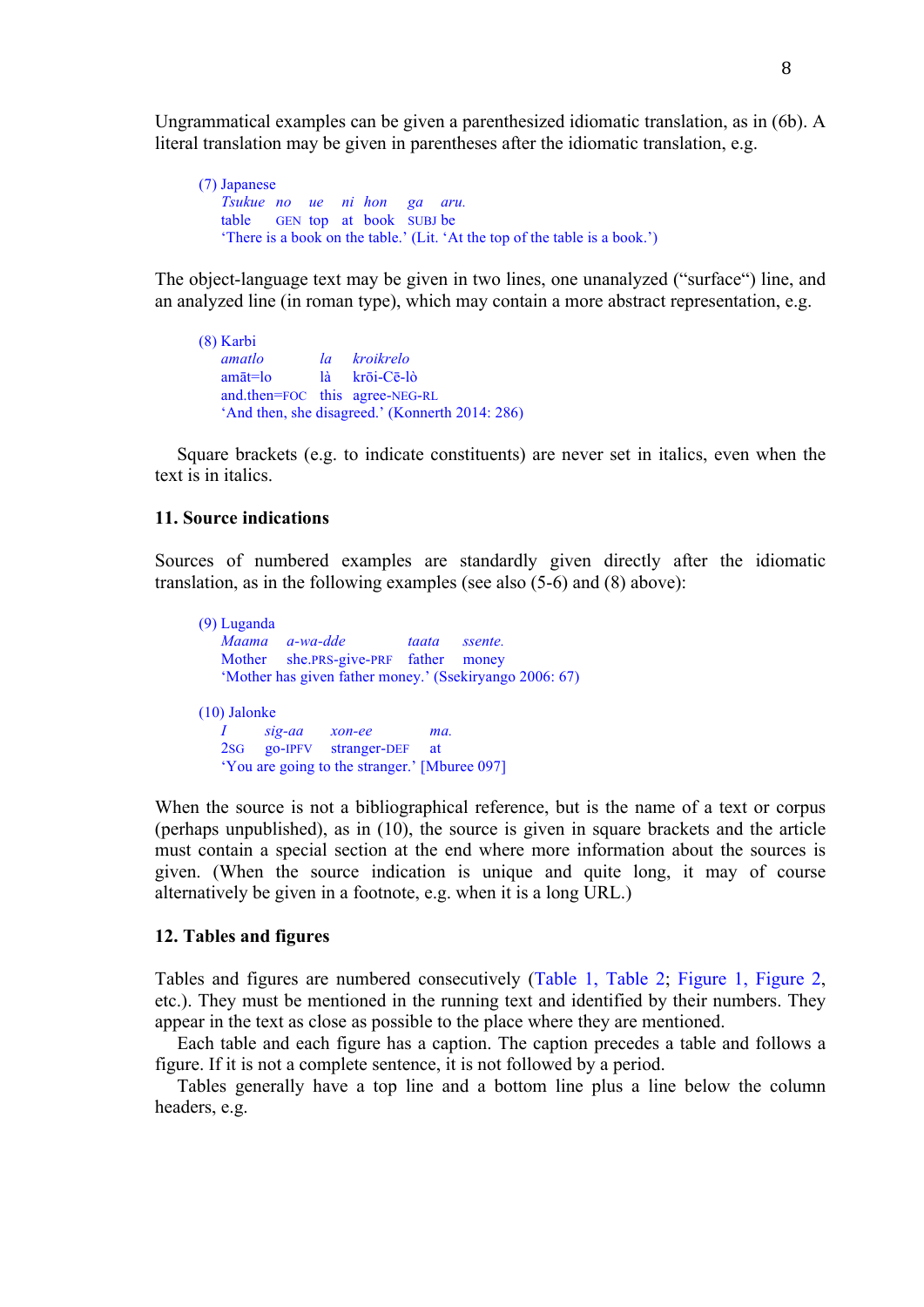Ungrammatical examples can be given a parenthesized idiomatic translation, as in (6b). A literal translation may be given in parentheses after the idiomatic translation, e.g.

(7) Japanese *Tsukue no ue ni hon ga aru.* table GEN top at book SUBJ be 'There is a book on the table.' (Lit. 'At the top of the table is a book.')

The object-language text may be given in two lines, one unanalyzed ("surface") line, and an analyzed line (in roman type), which may contain a more abstract representation, e.g.

(8) Karbi *amatlo la kroikrelo* amāt=lo là krōi-Cē-lò and.then=FOC this agree-NEG-RL 'And then, she disagreed.' (Konnerth 2014: 286)

Square brackets (e.g. to indicate constituents) are never set in italics, even when the text is in italics.

# **11. Source indications**

Sources of numbered examples are standardly given directly after the idiomatic translation, as in the following examples (see also (5-6) and (8) above):

(9) Luganda *Maama a-wa-dde taata ssente.*  Mother she.PRS-give-PRF father money 'Mother has given father money.' (Ssekiryango 2006: 67) (10) Jalonke *I sig-aa xon-ee ma.* 2SG go-IPFV stranger-DEF at 'You are going to the stranger.' [Mburee 097]

When the source is not a bibliographical reference, but is the name of a text or corpus (perhaps unpublished), as in (10), the source is given in square brackets and the article must contain a special section at the end where more information about the sources is given. (When the source indication is unique and quite long, it may of course alternatively be given in a footnote, e.g. when it is a long URL.)

#### **12. Tables and figures**

Tables and figures are numbered consecutively (Table 1, Table 2; Figure 1, Figure 2, etc.). They must be mentioned in the running text and identified by their numbers. They appear in the text as close as possible to the place where they are mentioned.

Each table and each figure has a caption. The caption precedes a table and follows a figure. If it is not a complete sentence, it is not followed by a period.

Tables generally have a top line and a bottom line plus a line below the column headers, e.g.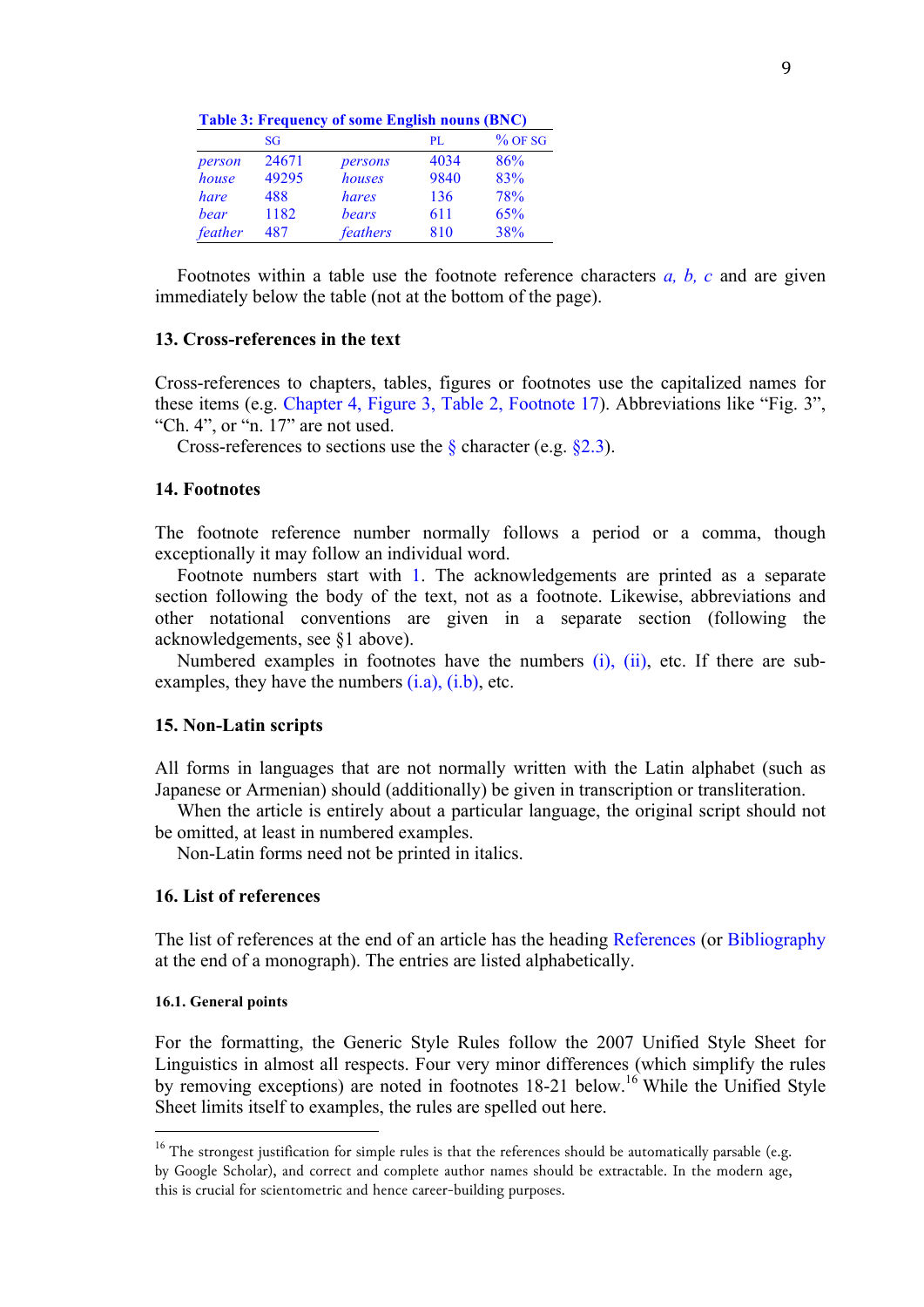|  |  |  | <b>Table 3: Frequency of some English nouns (BNC)</b> |  |  |
|--|--|--|-------------------------------------------------------|--|--|
|--|--|--|-------------------------------------------------------|--|--|

|             | SG    |              | PL.  | $%$ OF SG  |
|-------------|-------|--------------|------|------------|
| person      | 24671 | persons      | 4034 | 86%        |
| house       | 49295 | houses       | 9840 | 83%        |
| hare        | 488   | hares        | 136  | <b>78%</b> |
| <b>bear</b> | 1182  | <b>bears</b> | 611  | 65%        |
| feather     | 487   | feathers     | 810  | <b>38%</b> |

Footnotes within a table use the footnote reference characters *a, b, c* and are given immediately below the table (not at the bottom of the page).

#### **13. Cross-references in the text**

Cross-references to chapters, tables, figures or footnotes use the capitalized names for these items (e.g. Chapter 4, Figure 3, Table 2, Footnote 17). Abbreviations like "Fig. 3", "Ch. 4", or "n. 17" are not used.

Cross-references to sections use the  $\frac{6}{9}$  character (e.g.  $\frac{62.3}{10.2}$ ).

#### **14. Footnotes**

The footnote reference number normally follows a period or a comma, though exceptionally it may follow an individual word.

Footnote numbers start with 1. The acknowledgements are printed as a separate section following the body of the text, not as a footnote. Likewise, abbreviations and other notational conventions are given in a separate section (following the acknowledgements, see §1 above).

Numbered examples in footnotes have the numbers (i), (ii), etc. If there are subexamples, they have the numbers  $(i.a)$ ,  $(i.b)$ , etc.

#### **15. Non-Latin scripts**

All forms in languages that are not normally written with the Latin alphabet (such as Japanese or Armenian) should (additionally) be given in transcription or transliteration.

When the article is entirely about a particular language, the original script should not be omitted, at least in numbered examples.

Non-Latin forms need not be printed in italics.

#### **16. List of references**

The list of references at the end of an article has the heading References (or Bibliography at the end of a monograph). The entries are listed alphabetically.

#### **16.1. General points**

 

For the formatting, the Generic Style Rules follow the 2007 Unified Style Sheet for Linguistics in almost all respects. Four very minor differences (which simplify the rules by removing exceptions) are noted in footnotes 18-21 below.<sup>16</sup> While the Unified Style Sheet limits itself to examples, the rules are spelled out here.

 $16$  The strongest justification for simple rules is that the references should be automatically parsable (e.g. by Google Scholar), and correct and complete author names should be extractable. In the modern age, this is crucial for scientometric and hence career-building purposes.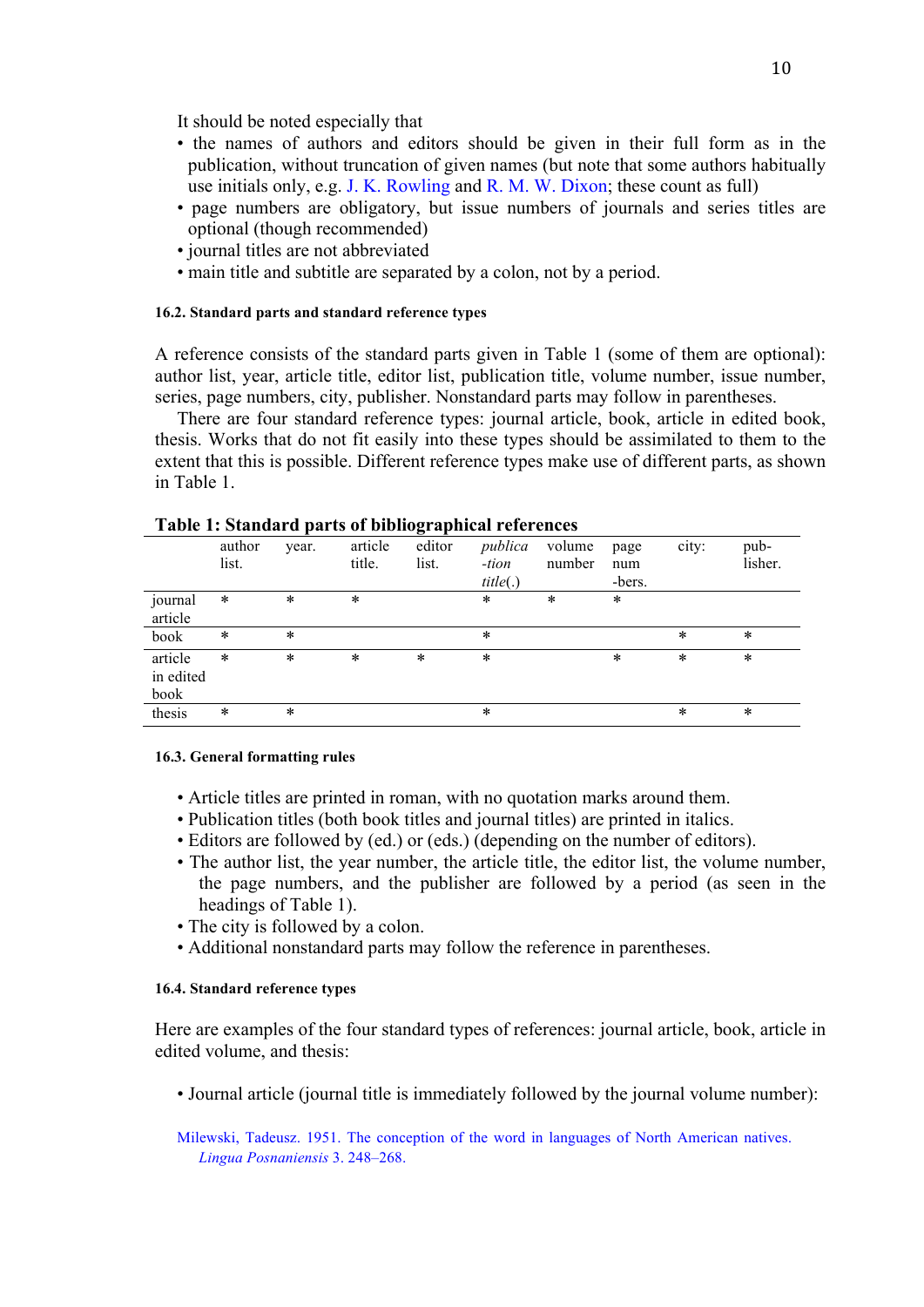It should be noted especially that

- the names of authors and editors should be given in their full form as in the publication, without truncation of given names (but note that some authors habitually use initials only, e.g. J. K. Rowling and R. M. W. Dixon; these count as full)
- page numbers are obligatory, but issue numbers of journals and series titles are optional (though recommended)
- journal titles are not abbreviated
- main title and subtitle are separated by a colon, not by a period.

## **16.2. Standard parts and standard reference types**

A reference consists of the standard parts given in Table 1 (some of them are optional): author list, year, article title, editor list, publication title, volume number, issue number, series, page numbers, city, publisher. Nonstandard parts may follow in parentheses.

There are four standard reference types: journal article, book, article in edited book, thesis. Works that do not fit easily into these types should be assimilated to them to the extent that this is possible. Different reference types make use of different parts, as shown in Table 1.

|                              |                 |        |                   | . .             |                              |                  |                       |        |                 |
|------------------------------|-----------------|--------|-------------------|-----------------|------------------------------|------------------|-----------------------|--------|-----------------|
|                              | author<br>list. | year.  | article<br>title. | editor<br>list. | publica<br>-tion<br>title(.) | volume<br>number | page<br>num<br>-bers. | city:  | pub-<br>lisher. |
| journal<br>article           | $\ast$          | $\ast$ | *                 |                 | $\ast$                       | $\ast$           | *                     |        |                 |
| book                         | $\ast$          | *      |                   |                 | $\ast$                       |                  |                       | $\ast$ | *               |
| article<br>in edited<br>book | $\ast$          | $\ast$ | *                 | $\ast$          | $\ast$                       |                  | $\ast$                | $\ast$ | *               |
| thesis                       | $\ast$          | $\ast$ |                   |                 | $\ast$                       |                  |                       | $\ast$ | *               |

**Table 1: Standard parts of bibliographical references**

#### **16.3. General formatting rules**

- Article titles are printed in roman, with no quotation marks around them.
- Publication titles (both book titles and journal titles) are printed in italics.
- Editors are followed by (ed.) or (eds.) (depending on the number of editors).
- The author list, the year number, the article title, the editor list, the volume number, the page numbers, and the publisher are followed by a period (as seen in the headings of Table 1).
- The city is followed by a colon.
- Additional nonstandard parts may follow the reference in parentheses.

#### **16.4. Standard reference types**

Here are examples of the four standard types of references: journal article, book, article in edited volume, and thesis:

• Journal article (journal title is immediately followed by the journal volume number):

Milewski, Tadeusz. 1951. The conception of the word in languages of North American natives. *Lingua Posnaniensis* 3. 248–268.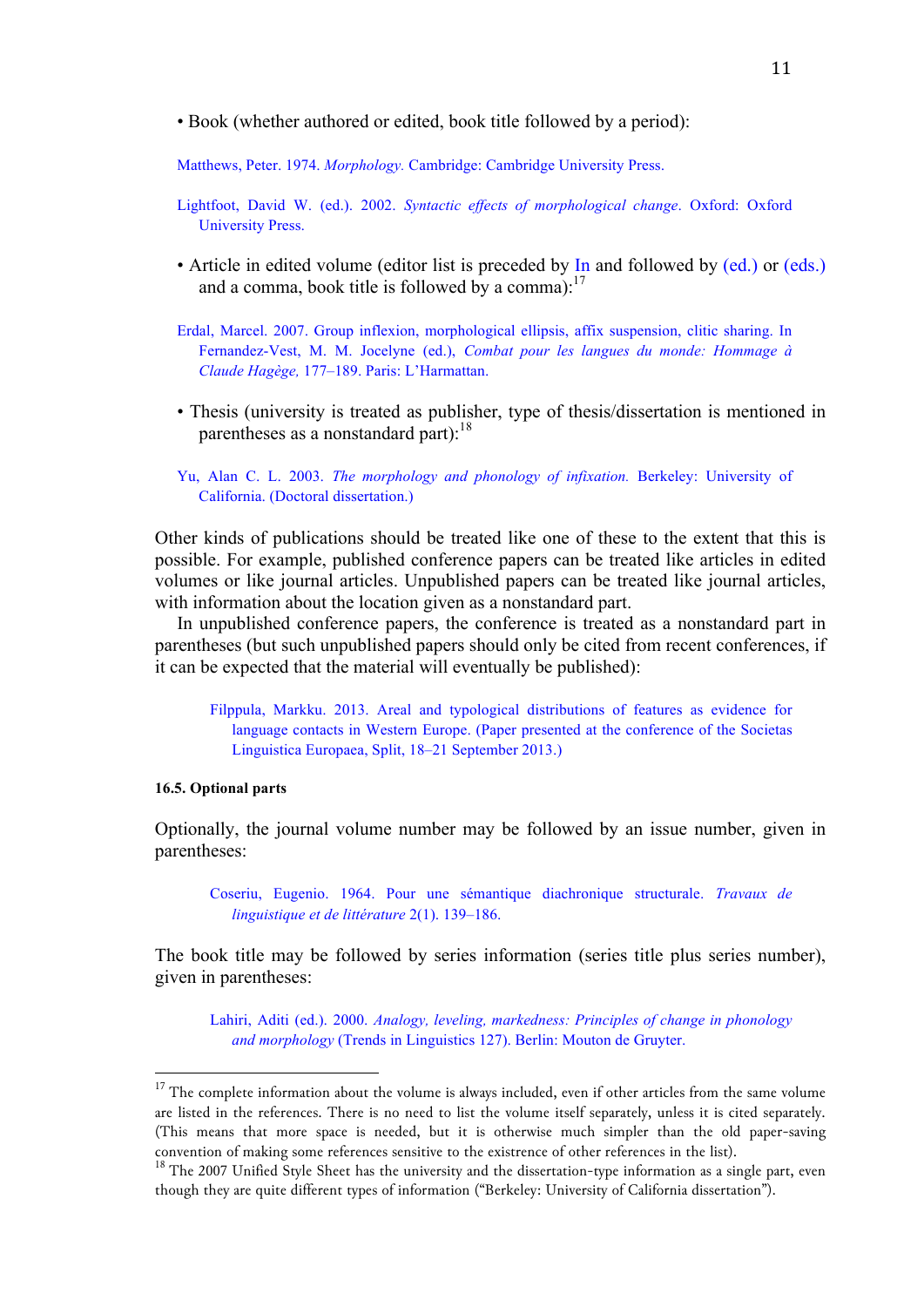• Book (whether authored or edited, book title followed by a period):

Matthews, Peter. 1974. *Morphology.* Cambridge: Cambridge University Press.

- Lightfoot, David W. (ed.). 2002. *Syntactic effects of morphological change*. Oxford: Oxford University Press.
- Article in edited volume (editor list is preceded by In and followed by (ed.) or (eds.) and a comma, book title is followed by a comma):  $17$
- Erdal, Marcel. 2007. Group inflexion, morphological ellipsis, affix suspension, clitic sharing. In Fernandez-Vest, M. M. Jocelyne (ed.), *Combat pour les langues du monde: Hommage à Claude Hagège,* 177–189. Paris: L'Harmattan.
- Thesis (university is treated as publisher, type of thesis/dissertation is mentioned in parentheses as a nonstandard part):  $18$
- Yu, Alan C. L. 2003. *The morphology and phonology of infixation.* Berkeley: University of California. (Doctoral dissertation.)

Other kinds of publications should be treated like one of these to the extent that this is possible. For example, published conference papers can be treated like articles in edited volumes or like journal articles. Unpublished papers can be treated like journal articles, with information about the location given as a nonstandard part.

In unpublished conference papers, the conference is treated as a nonstandard part in parentheses (but such unpublished papers should only be cited from recent conferences, if it can be expected that the material will eventually be published):

Filppula, Markku. 2013. Areal and typological distributions of features as evidence for language contacts in Western Europe. (Paper presented at the conference of the Societas Linguistica Europaea, Split, 18–21 September 2013.)

#### **16.5. Optional parts**

 

Optionally, the journal volume number may be followed by an issue number, given in parentheses:

Coseriu, Eugenio. 1964. Pour une sémantique diachronique structurale. *Travaux de linguistique et de littérature* 2(1). 139–186.

The book title may be followed by series information (series title plus series number), given in parentheses:

Lahiri, Aditi (ed.). 2000. *Analogy, leveling, markedness: Principles of change in phonology and morphology* (Trends in Linguistics 127). Berlin: Mouton de Gruyter.

<sup>&</sup>lt;sup>17</sup> The complete information about the volume is always included, even if other articles from the same volume are listed in the references. There is no need to list the volume itself separately, unless it is cited separately. (This means that more space is needed, but it is otherwise much simpler than the old paper-saving convention of making some references sensitive to the existrence of other references in the list).

<sup>&</sup>lt;sup>18</sup> The 2007 Unified Style Sheet has the university and the dissertation-type information as a single part, even though they are quite different types of information ("Berkeley: University of California dissertation").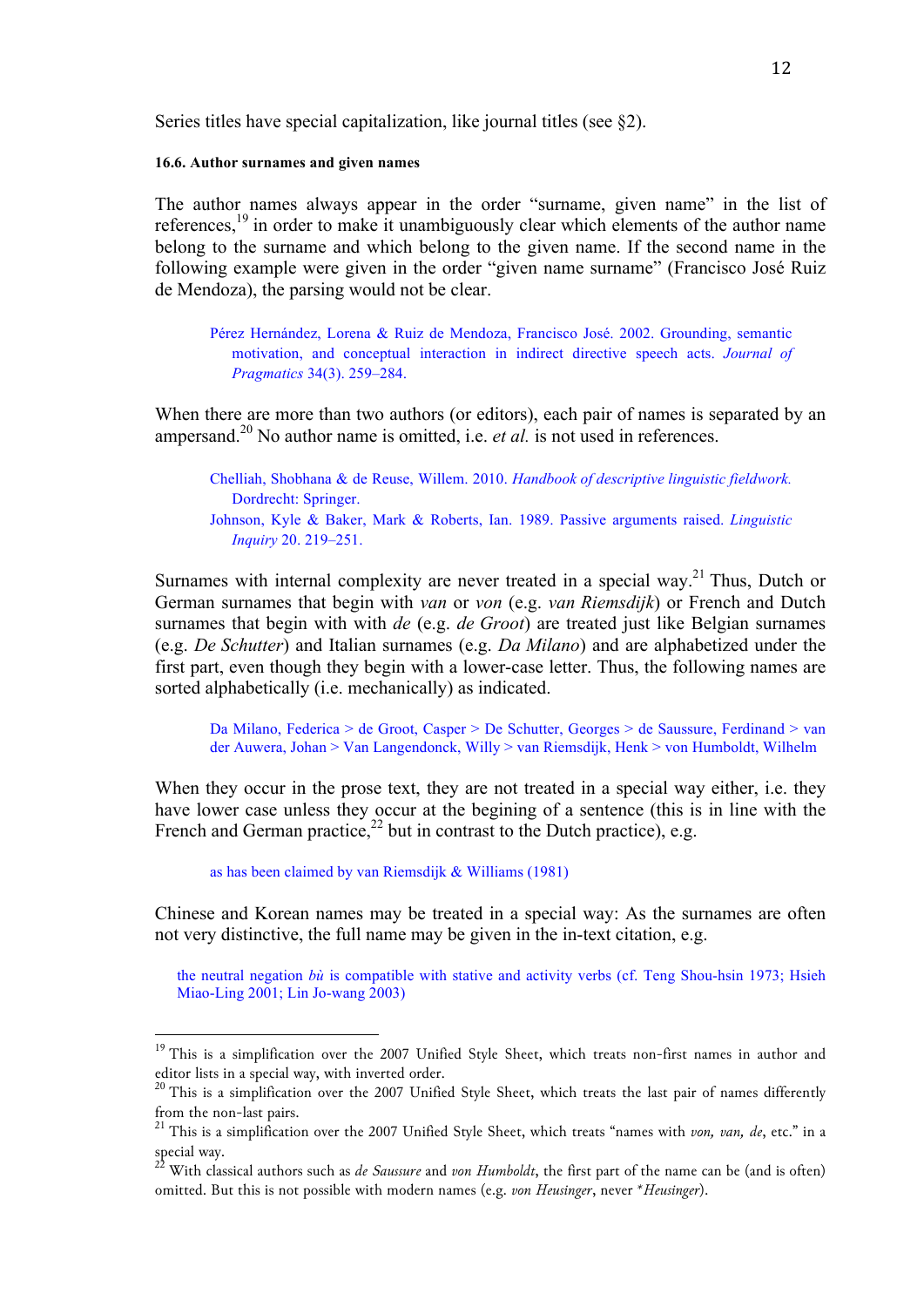Series titles have special capitalization, like journal titles (see §2).

**16.6. Author surnames and given names**

The author names always appear in the order "surname, given name" in the list of references,<sup>19</sup> in order to make it unambiguously clear which elements of the author name belong to the surname and which belong to the given name. If the second name in the following example were given in the order "given name surname" (Francisco José Ruiz de Mendoza), the parsing would not be clear.

Pérez Hernández, Lorena & Ruiz de Mendoza, Francisco José. 2002. Grounding, semantic motivation, and conceptual interaction in indirect directive speech acts. *Journal of Pragmatics* 34(3). 259–284.

When there are more than two authors (or editors), each pair of names is separated by an ampersand.<sup>20</sup> No author name is omitted, i.e. *et al.* is not used in references.

Chelliah, Shobhana & de Reuse, Willem. 2010. *Handbook of descriptive linguistic fieldwork.* Dordrecht: Springer. Johnson, Kyle & Baker, Mark & Roberts, Ian. 1989. Passive arguments raised. *Linguistic Inquiry* 20. 219–251.

Surnames with internal complexity are never treated in a special way.<sup>21</sup> Thus, Dutch or German surnames that begin with *van* or *von* (e.g. *van Riemsdijk*) or French and Dutch surnames that begin with with *de* (e.g. *de Groot*) are treated just like Belgian surnames (e.g. *De Schutter*) and Italian surnames (e.g. *Da Milano*) and are alphabetized under the first part, even though they begin with a lower-case letter. Thus, the following names are sorted alphabetically (i.e. mechanically) as indicated.

Da Milano, Federica > de Groot, Casper > De Schutter, Georges > de Saussure, Ferdinand > van der Auwera, Johan > Van Langendonck, Willy > van Riemsdijk, Henk > von Humboldt, Wilhelm

When they occur in the prose text, they are not treated in a special way either, i.e. they have lower case unless they occur at the begining of a sentence (this is in line with the French and German practice,<sup>22</sup> but in contrast to the Dutch practice), e.g.

as has been claimed by van Riemsdijk & Williams (1981)

 

Chinese and Korean names may be treated in a special way: As the surnames are often not very distinctive, the full name may be given in the in-text citation, e.g.

the neutral negation *bù* is compatible with stative and activity verbs (cf. Teng Shou-hsin 1973; Hsieh Miao-Ling 2001; Lin Jo-wang 2003)

<sup>&</sup>lt;sup>19</sup> This is a simplification over the 2007 Unified Style Sheet, which treats non-first names in author and editor lists in a special way, with inverted order.<br><sup>20</sup> This is a simplification over the 2007 Unified Style Sheet, which treats the last pair of names differently

from the non-last pairs.

<sup>&</sup>lt;sup>21</sup> This is a simplification over the 2007 Unified Style Sheet, which treats "names with *von, van, de*, etc." in a special way.

<sup>22</sup> With classical authors such as *de Saussure* and *von Humboldt*, the first part of the name can be (and is often) omitted. But this is not possible with modern names (e.g. *von Heusinger*, never *\*Heusinger*).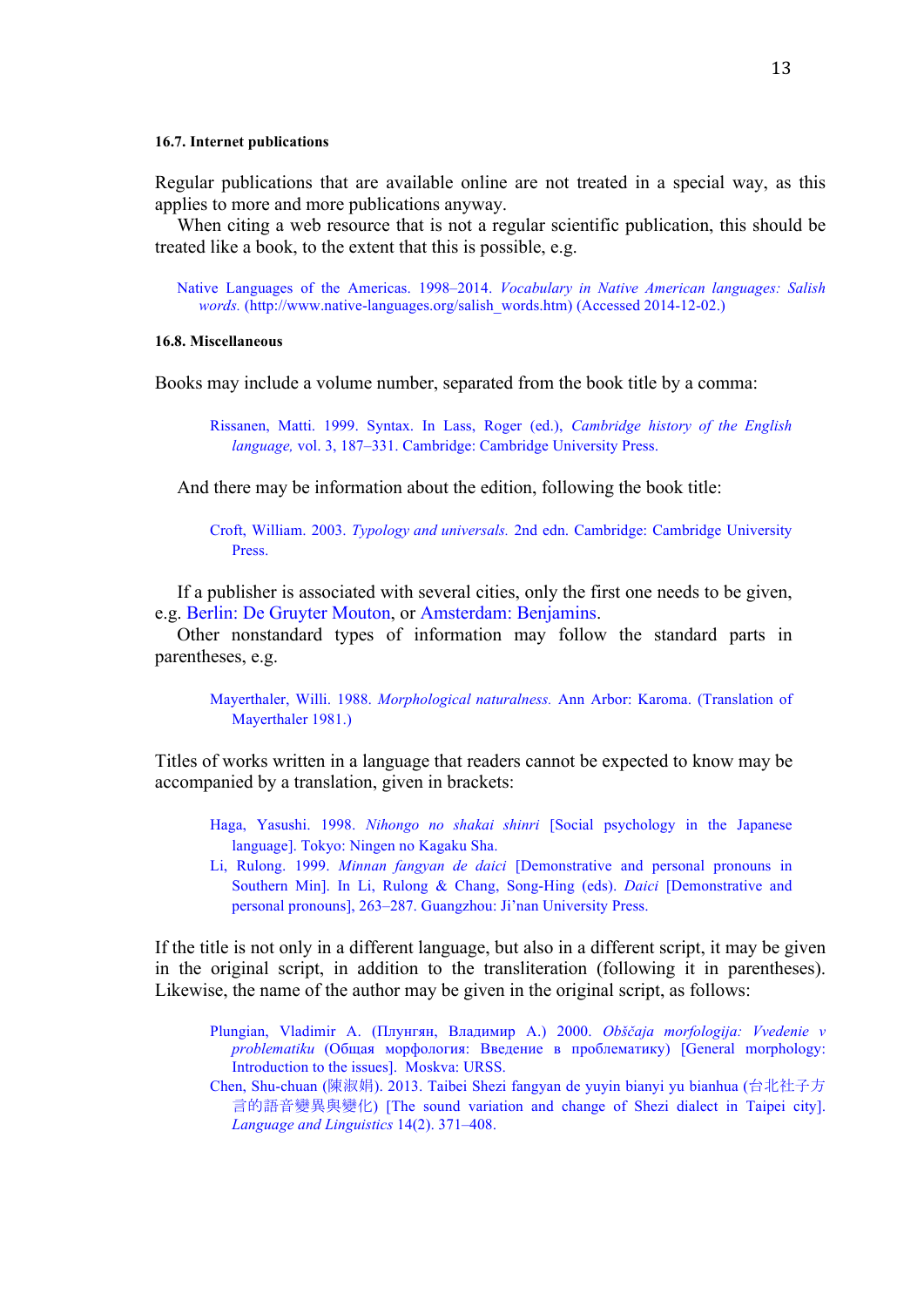#### **16.7. Internet publications**

Regular publications that are available online are not treated in a special way, as this applies to more and more publications anyway.

When citing a web resource that is not a regular scientific publication, this should be treated like a book, to the extent that this is possible, e.g.

Native Languages of the Americas. 1998–2014. *Vocabulary in Native American languages: Salish words.* (http://www.native-languages.org/salish\_words.htm) (Accessed 2014-12-02.)

#### **16.8. Miscellaneous**

Books may include a volume number, separated from the book title by a comma:

Rissanen, Matti. 1999. Syntax. In Lass, Roger (ed.), *Cambridge history of the English language,* vol. 3, 187–331. Cambridge: Cambridge University Press.

And there may be information about the edition, following the book title:

Croft, William. 2003. *Typology and universals.* 2nd edn. Cambridge: Cambridge University **Press**.

If a publisher is associated with several cities, only the first one needs to be given, e.g. Berlin: De Gruyter Mouton, or Amsterdam: Benjamins.

Other nonstandard types of information may follow the standard parts in parentheses, e.g.

Mayerthaler, Willi. 1988. *Morphological naturalness.* Ann Arbor: Karoma. (Translation of Mayerthaler 1981.)

Titles of works written in a language that readers cannot be expected to know may be accompanied by a translation, given in brackets:

Haga, Yasushi. 1998. *Nihongo no shakai shinri* [Social psychology in the Japanese language]. Tokyo: Ningen no Kagaku Sha.

Li, Rulong. 1999. *Minnan fangyan de daici* [Demonstrative and personal pronouns in Southern Min]. In Li, Rulong & Chang, Song-Hing (eds). *Daici* [Demonstrative and personal pronouns], 263–287. Guangzhou: Ji'nan University Press.

If the title is not only in a different language, but also in a different script, it may be given in the original script, in addition to the transliteration (following it in parentheses). Likewise, the name of the author may be given in the original script, as follows:

- Plungian, Vladimir A. (Плунгян, Владимир А.) 2000. *Obščaja morfologija: Vvedenie v problematiku* (Общая морфология: Введение в проблематику) [General morphology: Introduction to the issues]. Moskva: URSS.
- Chen, Shu-chuan (陳淑娟). 2013. Taibei Shezi fangyan de yuyin bianyi yu bianhua (台北社子方 言的語音變異與變化) [The sound variation and change of Shezi dialect in Taipei city]. *Language and Linguistics* 14(2). 371–408.